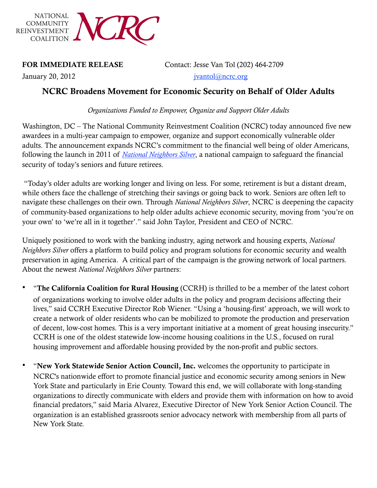

January 20, 2012 jvantol@ncrc.org

FOR IMMEDIATE RELEASE Contact: Jesse Van Tol (202) 464-2709

## NCRC Broadens Movement for Economic Security on Behalf of Older Adults

*Organizations Funded to Empower, Organize and Support Older Adults*

Washington, DC – The National Community Reinvestment Coalition (NCRC) today announced five new awardees in a multi-year campaign to empower, organize and support economically vulnerable older adults. The announcement expands NCRC's commitment to the financial well being of older Americans, following the launch in 2011 of *[National Neighbors Silver](http://www.ncrc.org/programs-issues/housing/senior-housing-and-banking)*, a national campaign to safeguard the financial security of today's seniors and future retirees.

 "Today's older adults are working longer and living on less. For some, retirement is but a distant dream, while others face the challenge of stretching their savings or going back to work. Seniors are often left to navigate these challenges on their own. Through *National Neighbors Silver*, NCRC is deepening the capacity of community-based organizations to help older adults achieve economic security, moving from 'you're on your own' to 'we're all in it together'." said John Taylor, President and CEO of NCRC.

Uniquely positioned to work with the banking industry, aging network and housing experts, *National Neighbors Silver* offers a platform to build policy and program solutions for economic security and wealth preservation in aging America. A critical part of the campaign is the growing network of local partners. About the newest *National Neighbors Silver* partners:

- "The California Coalition for Rural Housing (CCRH) is thrilled to be a member of the latest cohort of organizations working to involve older adults in the policy and program decisions affecting their lives," said CCRH Executive Director Rob Wiener. "Using a 'housing-first' approach, we will work to create a network of older residents who can be mobilized to promote the production and preservation of decent, low-cost homes. This is a very important initiative at a moment of great housing insecurity." CCRH is one of the oldest statewide low-income housing coalitions in the U.S., focused on rural housing improvement and affordable housing provided by the non-profit and public sectors.
- "New York Statewide Senior Action Council, Inc. welcomes the opportunity to participate in NCRC's nationwide effort to promote financial justice and economic security among seniors in New York State and particularly in Erie County. Toward this end, we will collaborate with long-standing organizations to directly communicate with elders and provide them with information on how to avoid financial predators," said Maria Alvarez, Executive Director of New York Senior Action Council. The organization is an established grassroots senior advocacy network with membership from all parts of New York State.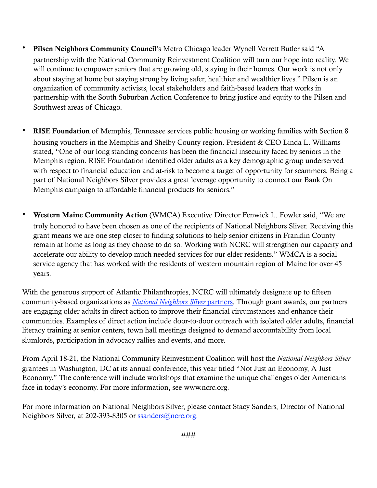- Pilsen Neighbors Community Council's Metro Chicago leader Wynell Verrett Butler said "A partnership with the National Community Reinvestment Coalition will turn our hope into reality. We will continue to empower seniors that are growing old, staying in their homes. Our work is not only about staying at home but staying strong by living safer, healthier and wealthier lives." Pilsen is an organization of community activists, local stakeholders and faith-based leaders that works in partnership with the South Suburban Action Conference to bring justice and equity to the Pilsen and Southwest areas of Chicago.
- RISE Foundation of Memphis, Tennessee services public housing or working families with Section 8 housing vouchers in the Memphis and Shelby County region. President & CEO Linda L. Williams stated, "One of our long standing concerns has been the financial insecurity faced by seniors in the Memphis region. RISE Foundation identified older adults as a key demographic group underserved with respect to financial education and at-risk to become a target of opportunity for scammers. Being a part of National Neighbors Silver provides a great leverage opportunity to connect our Bank On Memphis campaign to affordable financial products for seniors."
- Western Maine Community Action (WMCA) Executive Director Fenwick L. Fowler said, "We are truly honored to have been chosen as one of the recipients of National Neighbors Sliver. Receiving this grant means we are one step closer to finding solutions to help senior citizens in Franklin County remain at home as long as they choose to do so. Working with NCRC will strengthen our capacity and accelerate our ability to develop much needed services for our elder residents." WMCA is a social service agency that has worked with the residents of western mountain region of Maine for over 45 years.

With the generous support of Atlantic Philanthropies, NCRC will ultimately designate up to fifteen community-based organizations as *[National Neighbors Silver](http://www.ncrc.org/component/k2/item/688-national-neighbors-silver-partners)* partners. Through grant awards, our partners are engaging older adults in direct action to improve their financial circumstances and enhance their communities. Examples of direct action include door-to-door outreach with isolated older adults, financial literacy training at senior centers, town hall meetings designed to demand accountability from local slumlords, participation in advocacy rallies and events, and more.

From April 18-21, the National Community Reinvestment Coalition will host the *National Neighbors Silver*  grantees in Washington, DC at its annual conference, this year titled "Not Just an Economy, A Just Economy." The conference will include workshops that examine the unique challenges older Americans face in today's economy. For more information, see www.ncrc.org.

For more information on National Neighbors Silver, please contact Stacy Sanders, Director of National Neighbors Silver, at 202-393-8305 or [ssanders@ncrc.org](mailto:ssanders@ncrc.org).